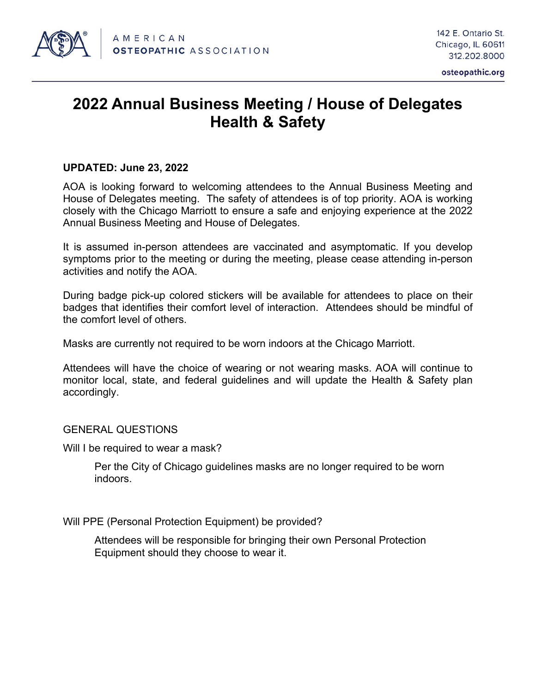

## **2022 Annual Business Meeting / House of Delegates Health & Safety**

## **UPDATED: June 23, 2022**

AOA is looking forward to welcoming attendees to the Annual Business Meeting and House of Delegates meeting. The safety of attendees is of top priority. AOA is working closely with the Chicago Marriott to ensure a safe and enjoying experience at the 2022 Annual Business Meeting and House of Delegates.

It is assumed in-person attendees are vaccinated and asymptomatic. If you develop symptoms prior to the meeting or during the meeting, please cease attending in-person activities and notify the AOA.

During badge pick-up colored stickers will be available for attendees to place on their badges that identifies their comfort level of interaction. Attendees should be mindful of the comfort level of others.

Masks are currently not required to be worn indoors at the Chicago Marriott.

Attendees will have the choice of wearing or not wearing masks. AOA will continue to monitor local, state, and federal guidelines and will update the Health & Safety plan accordingly.

GENERAL QUESTIONS

Will I be required to wear a mask?

Per the City of Chicago guidelines masks are no longer required to be worn indoors.

Will PPE (Personal Protection Equipment) be provided?

Attendees will be responsible for bringing their own Personal Protection Equipment should they choose to wear it.